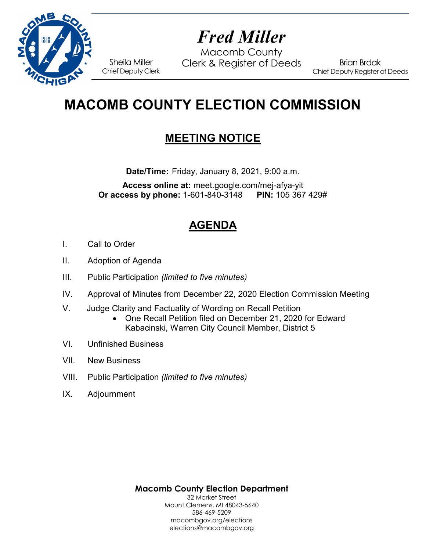

# *Fred Miller*

Macomb County Sheila Miller Clerk & Register of Deeds<br>Chief Deputy Clerk

Brian Brdak Chief Deputy Register of Deeds

## **MACOMB COUNTY ELECTION COMMISSION**

## **MEETING NOTICE**

**Date/Time:** Friday, January 8, 2021, 9:00 a.m.

**Access online at:** meet.google.com/mej-afya-yit **Or access by phone: 1-601-840-3148** 

## **AGENDA**

- I. Call to Order
- II. Adoption of Agenda
- III. Public Participation *(limited to five minutes)*
- IV. Approval of Minutes from December 22, 2020 Election Commission Meeting
- V. Judge Clarity and Factuality of Wording on Recall Petition
	- One Recall Petition filed on December 21, 2020 for Edward Kabacinski, Warren City Council Member, District 5
- VI. Unfinished Business
- VII. New Business
- VIII. Public Participation *(limited to five minutes)*
- IX. Adjournment

**Macomb County Election Department** 32 Market Street

Mount Clemens, MI 48043-5640 586-469-5209 macombgov.org/elections elections@macombgov.org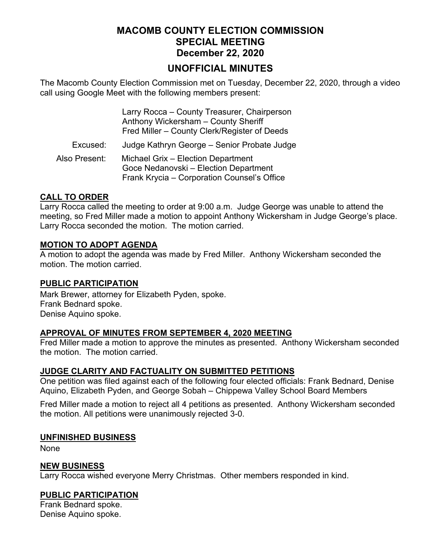#### **MACOMB COUNTY ELECTION COMMISSION SPECIAL MEETING December 22, 2020**

#### **UNOFFICIAL MINUTES**

The Macomb County Election Commission met on Tuesday, December 22, 2020, through a video call using Google Meet with the following members present:

|               | Larry Rocca - County Treasurer, Chairperson<br>Anthony Wickersham - County Sheriff<br>Fred Miller - County Clerk/Register of Deeds |
|---------------|------------------------------------------------------------------------------------------------------------------------------------|
| Excused:      | Judge Kathryn George - Senior Probate Judge                                                                                        |
| Also Present: | Michael Grix - Election Department<br>Goce Nedanovski - Election Department<br>Frank Krycia - Corporation Counsel's Office         |

#### **CALL TO ORDER**

Larry Rocca called the meeting to order at 9:00 a.m. Judge George was unable to attend the meeting, so Fred Miller made a motion to appoint Anthony Wickersham in Judge George's place. Larry Rocca seconded the motion. The motion carried.

#### **MOTION TO ADOPT AGENDA**

A motion to adopt the agenda was made by Fred Miller. Anthony Wickersham seconded the motion. The motion carried.

#### **PUBLIC PARTICIPATION**

Mark Brewer, attorney for Elizabeth Pyden, spoke. Frank Bednard spoke. Denise Aquino spoke.

#### **APPROVAL OF MINUTES FROM SEPTEMBER 4, 2020 MEETING**

Fred Miller made a motion to approve the minutes as presented. Anthony Wickersham seconded the motion. The motion carried.

#### **JUDGE CLARITY AND FACTUALITY ON SUBMITTED PETITIONS**

One petition was filed against each of the following four elected officials: Frank Bednard, Denise Aquino, Elizabeth Pyden, and George Sobah – Chippewa Valley School Board Members

Fred Miller made a motion to reject all 4 petitions as presented. Anthony Wickersham seconded the motion. All petitions were unanimously rejected 3-0.

#### **UNFINISHED BUSINESS**

None

#### **NEW BUSINESS**

Larry Rocca wished everyone Merry Christmas. Other members responded in kind.

#### **PUBLIC PARTICIPATION**

Frank Bednard spoke. Denise Aquino spoke.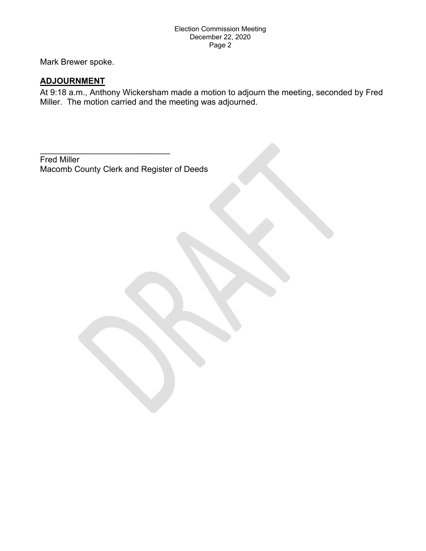Mark Brewer spoke.

#### **ADJOURNMENT**

At 9:18 a.m., Anthony Wickersham made a motion to adjourn the meeting, seconded by Fred Miller. The motion carried and the meeting was adjourned.

Fred Miller Macomb County Clerk and Register of Deeds

 $\mathcal{L}_\text{max}$  , and the set of the set of the set of the set of the set of the set of the set of the set of the set of the set of the set of the set of the set of the set of the set of the set of the set of the set of the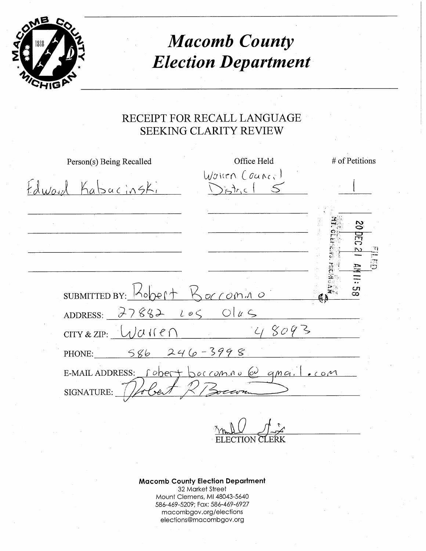

# **Macomb County Election Department**

### RECEIPT FOR RECALL LANGUAGE **SEEKING CLARITY REVIEW**

| Person(s) Being Recalled                                               | Office Held            | # of Petitions            |
|------------------------------------------------------------------------|------------------------|---------------------------|
| Edward Kabacinski                                                      | Wohen Counce!<br>55hrc |                           |
|                                                                        |                        |                           |
|                                                                        |                        | 29                        |
|                                                                        |                        |                           |
|                                                                        |                        | $\frac{\pi}{2}$<br>謌<br>픉 |
| SUBMITTED BY: $K_{\text{open}} + K_{\text{off}}$                       |                        | Cη<br>œ                   |
| ADDRESS: $27882$ $206$ $0145$                                          |                        |                           |
| $CITY & ZIP: \ \ \bigcup \mathcal{U} \cup \ \ \mathcal{U} \in \bigcap$ | $C_{18}8093$           |                           |
| PHONE: $586246-3998$                                                   |                        |                           |
| E-MAIL ADDRESS: robert borromno @ qmail.com<br>SIGNATURE:              | R Bocarn               |                           |
|                                                                        |                        |                           |

**Macomb County Election Department** 32 Market Street Mount Clemens, MI 48043-5640 586-469-5209; Fax: 586-469-6927 macombgov.org/elections elections@macombgov.org

<u>Anul / / /</u>